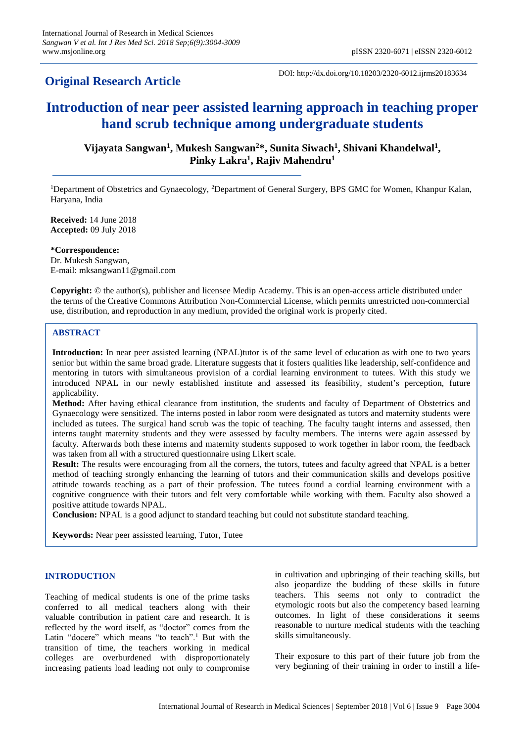# **Original Research Article**

DOI: http://dx.doi.org/10.18203/2320-6012.ijrms20183634

# **Introduction of near peer assisted learning approach in teaching proper hand scrub technique among undergraduate students**

**Vijayata Sangwan<sup>1</sup> , Mukesh Sangwan<sup>2</sup>\*, Sunita Siwach<sup>1</sup> , Shivani Khandelwal<sup>1</sup> , Pinky Lakra<sup>1</sup> , Rajiv Mahendru<sup>1</sup>**

<sup>1</sup>Department of Obstetrics and Gynaecology, <sup>2</sup>Department of General Surgery, BPS GMC for Women, Khanpur Kalan, Haryana, India

**Received:** 14 June 2018 **Accepted:** 09 July 2018

**\*Correspondence:** Dr. Mukesh Sangwan, E-mail: mksangwan11@gmail.com

**Copyright:** © the author(s), publisher and licensee Medip Academy. This is an open-access article distributed under the terms of the Creative Commons Attribution Non-Commercial License, which permits unrestricted non-commercial use, distribution, and reproduction in any medium, provided the original work is properly cited.

## **ABSTRACT**

**Introduction:** In near peer assisted learning (NPAL)tutor is of the same level of education as with one to two years senior but within the same broad grade. Literature suggests that it fosters qualities like leadership, self-confidence and mentoring in tutors with simultaneous provision of a cordial learning environment to tutees. With this study we introduced NPAL in our newly established institute and assessed its feasibility, student's perception, future applicability.

**Method:** After having ethical clearance from institution, the students and faculty of Department of Obstetrics and Gynaecology were sensitized. The interns posted in labor room were designated as tutors and maternity students were included as tutees. The surgical hand scrub was the topic of teaching. The faculty taught interns and assessed, then interns taught maternity students and they were assessed by faculty members. The interns were again assessed by faculty. Afterwards both these interns and maternity students supposed to work together in labor room, the feedback was taken from all with a structured questionnaire using Likert scale.

**Result:** The results were encouraging from all the corners, the tutors, tutees and faculty agreed that NPAL is a better method of teaching strongly enhancing the learning of tutors and their communication skills and develops positive attitude towards teaching as a part of their profession. The tutees found a cordial learning environment with a cognitive congruence with their tutors and felt very comfortable while working with them. Faculty also showed a positive attitude towards NPAL.

**Conclusion:** NPAL is a good adjunct to standard teaching but could not substitute standard teaching.

**Keywords:** Near peer assissted learning, Tutor, Tutee

#### **INTRODUCTION**

Teaching of medical students is one of the prime tasks conferred to all medical teachers along with their valuable contribution in patient care and research. It is reflected by the word itself, as "doctor" comes from the Latin "docere" which means "to teach".<sup>1</sup> But with the transition of time, the teachers working in medical colleges are overburdened with disproportionately increasing patients load leading not only to compromise

in cultivation and upbringing of their teaching skills, but also jeopardize the budding of these skills in future teachers. This seems not only to contradict the etymologic roots but also the competency based learning outcomes. In light of these considerations it seems reasonable to nurture medical students with the teaching skills simultaneously.

Their exposure to this part of their future job from the very beginning of their training in order to instill a life-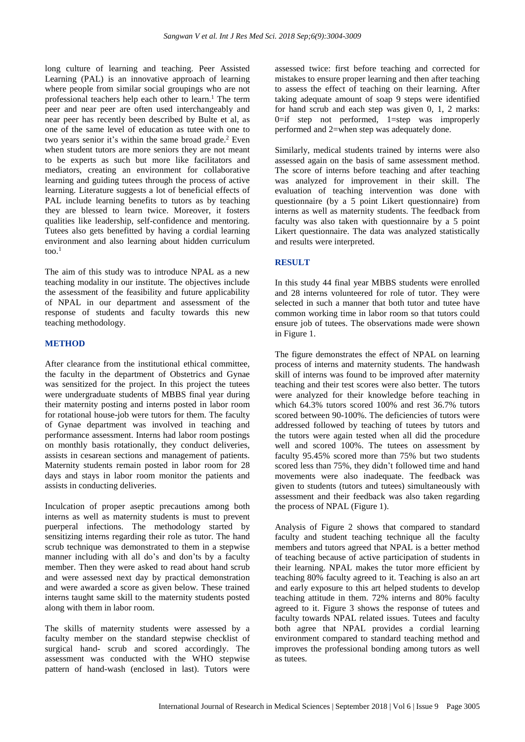long culture of learning and teaching. Peer Assisted Learning (PAL) is an innovative approach of learning where people from similar social groupings who are not professional teachers help each other to learn.<sup>1</sup> The term peer and near peer are often used interchangeably and near peer has recently been described by Bulte et al, as one of the same level of education as tutee with one to two years senior it's within the same broad grade.<sup>2</sup> Even when student tutors are more seniors they are not meant to be experts as such but more like facilitators and mediators, creating an environment for collaborative learning and guiding tutees through the process of active learning. Literature suggests a lot of beneficial effects of PAL include learning benefits to tutors as by teaching they are blessed to learn twice. Moreover, it fosters qualities like leadership, self-confidence and mentoring. Tutees also gets benefitted by having a cordial learning environment and also learning about hidden curriculum too. 1

The aim of this study was to introduce NPAL as a new teaching modality in our institute. The objectives include the assessment of the feasibility and future applicability of NPAL in our department and assessment of the response of students and faculty towards this new teaching methodology.

### **METHOD**

After clearance from the institutional ethical committee, the faculty in the department of Obstetrics and Gynae was sensitized for the project. In this project the tutees were undergraduate students of MBBS final year during their maternity posting and interns posted in labor room for rotational house-job were tutors for them. The faculty of Gynae department was involved in teaching and performance assessment. Interns had labor room postings on monthly basis rotationally, they conduct deliveries, assists in cesarean sections and management of patients. Maternity students remain posted in labor room for 28 days and stays in labor room monitor the patients and assists in conducting deliveries.

Inculcation of proper aseptic precautions among both interns as well as maternity students is must to prevent puerperal infections. The methodology started by sensitizing interns regarding their role as tutor. The hand scrub technique was demonstrated to them in a stepwise manner including with all do's and don'ts by a faculty member. Then they were asked to read about hand scrub and were assessed next day by practical demonstration and were awarded a score as given below. These trained interns taught same skill to the maternity students posted along with them in labor room.

The skills of maternity students were assessed by a faculty member on the standard stepwise checklist of surgical hand- scrub and scored accordingly. The assessment was conducted with the WHO stepwise pattern of hand-wash (enclosed in last). Tutors were assessed twice: first before teaching and corrected for mistakes to ensure proper learning and then after teaching to assess the effect of teaching on their learning. After taking adequate amount of soap 9 steps were identified for hand scrub and each step was given 0, 1, 2 marks: 0=if step not performed, 1=step was improperly performed and 2=when step was adequately done.

Similarly, medical students trained by interns were also assessed again on the basis of same assessment method. The score of interns before teaching and after teaching was analyzed for improvement in their skill. The evaluation of teaching intervention was done with questionnaire (by a 5 point Likert questionnaire) from interns as well as maternity students. The feedback from faculty was also taken with questionnaire by a 5 point Likert questionnaire. The data was analyzed statistically and results were interpreted.

### **RESULT**

In this study 44 final year MBBS students were enrolled and 28 interns volunteered for role of tutor. They were selected in such a manner that both tutor and tutee have common working time in labor room so that tutors could ensure job of tutees. The observations made were shown in Figure 1.

The figure demonstrates the effect of NPAL on learning process of interns and maternity students. The handwash skill of interns was found to be improved after maternity teaching and their test scores were also better. The tutors were analyzed for their knowledge before teaching in which 64.3% tutors scored 100% and rest 36.7% tutors scored between 90-100%. The deficiencies of tutors were addressed followed by teaching of tutees by tutors and the tutors were again tested when all did the procedure well and scored 100%. The tutees on assessment by faculty 95.45% scored more than 75% but two students scored less than 75%, they didn't followed time and hand movements were also inadequate. The feedback was given to students (tutors and tutees) simultaneously with assessment and their feedback was also taken regarding the process of NPAL (Figure 1).

Analysis of Figure 2 shows that compared to standard faculty and student teaching technique all the faculty members and tutors agreed that NPAL is a better method of teaching because of active participation of students in their learning. NPAL makes the tutor more efficient by teaching 80% faculty agreed to it. Teaching is also an art and early exposure to this art helped students to develop teaching attitude in them. 72% interns and 80% faculty agreed to it. Figure 3 shows the response of tutees and faculty towards NPAL related issues. Tutees and faculty both agree that NPAL provides a cordial learning environment compared to standard teaching method and improves the professional bonding among tutors as well as tutees.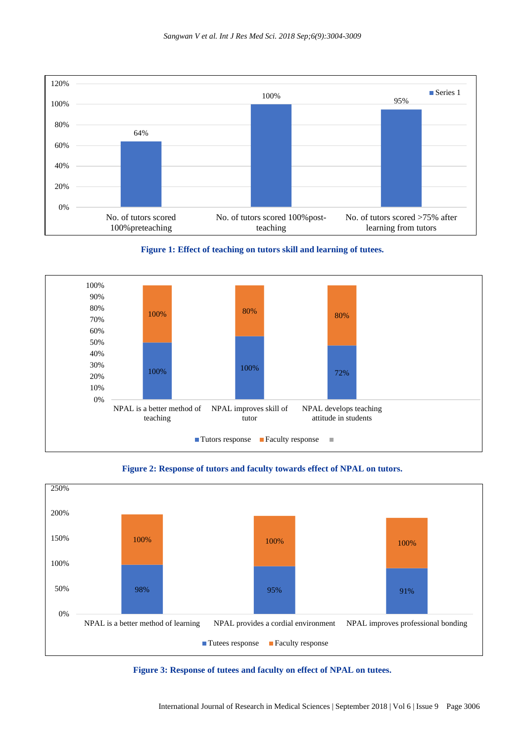









**Figure 3: Response of tutees and faculty on effect of NPAL on tutees.**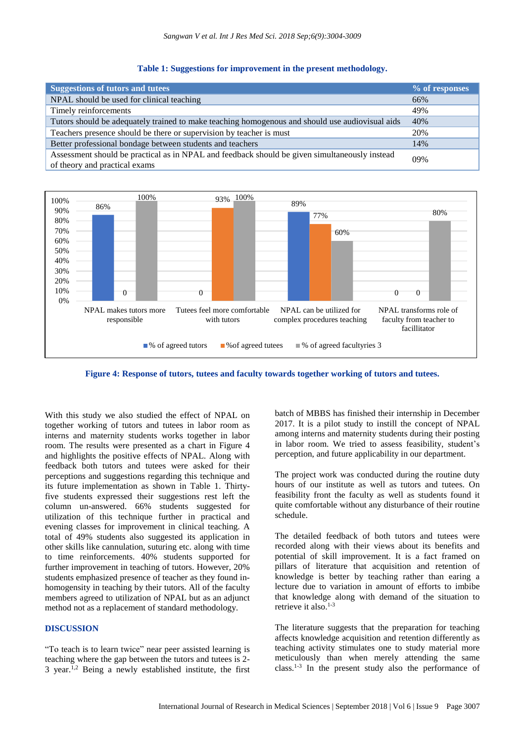#### **Table 1: Suggestions for improvement in the present methodology.**

| <b>Suggestions of tutors and tutees</b>                                                                                        | % of responses |
|--------------------------------------------------------------------------------------------------------------------------------|----------------|
| NPAL should be used for clinical teaching                                                                                      | 66%            |
| Timely reinforcements                                                                                                          | 49%            |
| Tutors should be adequately trained to make teaching homogenous and should use audiovisual aids                                | 40%            |
| Teachers presence should be there or supervision by teacher is must                                                            | 20%            |
| Better professional bondage between students and teachers                                                                      | 14%            |
| Assessment should be practical as in NPAL and feedback should be given simultaneously instead<br>of theory and practical exams | 09%            |



**Figure 4: Response of tutors, tutees and faculty towards together working of tutors and tutees.**

With this study we also studied the effect of NPAL on together working of tutors and tutees in labor room as interns and maternity students works together in labor room. The results were presented as a chart in Figure 4 and highlights the positive effects of NPAL. Along with feedback both tutors and tutees were asked for their perceptions and suggestions regarding this technique and its future implementation as shown in Table 1. Thirtyfive students expressed their suggestions rest left the column un-answered. 66% students suggested for utilization of this technique further in practical and evening classes for improvement in clinical teaching. A total of 49% students also suggested its application in other skills like cannulation, suturing etc. along with time to time reinforcements. 40% students supported for further improvement in teaching of tutors. However, 20% students emphasized presence of teacher as they found inhomogensity in teaching by their tutors. All of the faculty members agreed to utilization of NPAL but as an adjunct method not as a replacement of standard methodology.

#### **DISCUSSION**

"To teach is to learn twice" near peer assisted learning is teaching where the gap between the tutors and tutees is 2- 3 year.<sup>1,2</sup> Being a newly established institute, the first batch of MBBS has finished their internship in December 2017. It is a pilot study to instill the concept of NPAL among interns and maternity students during their posting in labor room. We tried to assess feasibility, student's perception, and future applicability in our department.

The project work was conducted during the routine duty hours of our institute as well as tutors and tutees. On feasibility front the faculty as well as students found it quite comfortable without any disturbance of their routine schedule.

The detailed feedback of both tutors and tutees were recorded along with their views about its benefits and potential of skill improvement. It is a fact framed on pillars of literature that acquisition and retention of knowledge is better by teaching rather than earing a lecture due to variation in amount of efforts to imbibe that knowledge along with demand of the situation to retrieve it also.<sup>1-3</sup>

The literature suggests that the preparation for teaching affects knowledge acquisition and retention differently as teaching activity stimulates one to study material more meticulously than when merely attending the same class.1-3 In the present study also the performance of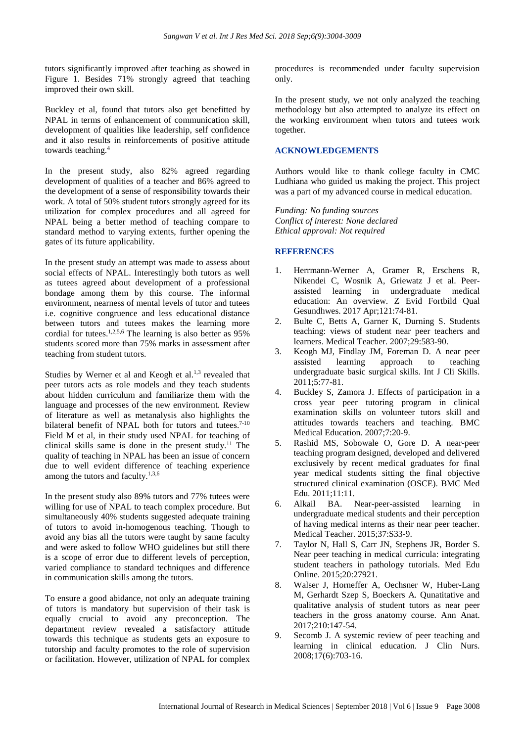tutors significantly improved after teaching as showed in Figure 1. Besides 71% strongly agreed that teaching improved their own skill.

Buckley et al, found that tutors also get benefitted by NPAL in terms of enhancement of communication skill, development of qualities like leadership, self confidence and it also results in reinforcements of positive attitude towards teaching.<sup>4</sup>

In the present study, also 82% agreed regarding development of qualities of a teacher and 86% agreed to the development of a sense of responsibility towards their work. A total of 50% student tutors strongly agreed for its utilization for complex procedures and all agreed for NPAL being a better method of teaching compare to standard method to varying extents, further opening the gates of its future applicability.

In the present study an attempt was made to assess about social effects of NPAL. Interestingly both tutors as well as tutees agreed about development of a professional bondage among them by this course. The informal environment, nearness of mental levels of tutor and tutees i.e. cognitive congruence and less educational distance between tutors and tutees makes the learning more cordial for tutees.<sup>1,2,5,6</sup> The learning is also better as 95% students scored more than 75% marks in assessment after teaching from student tutors.

Studies by Werner et al and Keogh et al. $1,3$  revealed that peer tutors acts as role models and they teach students about hidden curriculum and familiarize them with the language and processes of the new environment. Review of literature as well as metanalysis also highlights the bilateral benefit of NPAL both for tutors and tutees.<sup>7-10</sup> Field M et al, in their study used NPAL for teaching of clinical skills same is done in the present study.<sup>11</sup> The quality of teaching in NPAL has been an issue of concern due to well evident difference of teaching experience among the tutors and faculty. $1,3,6$ 

In the present study also 89% tutors and 77% tutees were willing for use of NPAL to teach complex procedure. But simultaneously 40% students suggested adequate training of tutors to avoid in-homogenous teaching. Though to avoid any bias all the tutors were taught by same faculty and were asked to follow WHO guidelines but still there is a scope of error due to different levels of perception, varied compliance to standard techniques and difference in communication skills among the tutors.

To ensure a good abidance, not only an adequate training of tutors is mandatory but supervision of their task is equally crucial to avoid any preconception. The department review revealed a satisfactory attitude towards this technique as students gets an exposure to tutorship and faculty promotes to the role of supervision or facilitation. However, utilization of NPAL for complex procedures is recommended under faculty supervision only.

In the present study, we not only analyzed the teaching methodology but also attempted to analyze its effect on the working environment when tutors and tutees work together.

### **ACKNOWLEDGEMENTS**

Authors would like to thank college faculty in CMC Ludhiana who guided us making the project. This project was a part of my advanced course in medical education.

*Funding: No funding sources Conflict of interest: None declared Ethical approval: Not required*

### **REFERENCES**

- 1. Herrmann-Werner A, Gramer R, Erschens R, Nikendei C, Wosnik A, Griewatz J et al. Peerassisted learning in undergraduate medical education: An overview. Z Evid Fortbild Qual Gesundhwes. 2017 Apr;121:74-81.
- 2. Bulte C, Betts A, Garner K, Durning S. Students teaching: views of student near peer teachers and learners. Medical Teacher. 2007;29:583-90.
- 3. Keogh MJ, Findlay JM, Foreman D. A near peer assisted learning approach to teaching undergraduate basic surgical skills. Int J Cli Skills. 2011;5:77-81.
- 4. Buckley S, Zamora J. Effects of participation in a cross year peer tutoring program in clinical examination skills on volunteer tutors skill and attitudes towards teachers and teaching. BMC Medical Education. 2007;7:20-9.
- 5. Rashid MS, Sobowale O, Gore D. A near-peer teaching program designed, developed and delivered exclusively by recent medical graduates for final year medical students sitting the final objective structured clinical examination (OSCE). BMC Med Edu. 2011;11:11.
- 6. Alkail BA. Near-peer-assisted learning in undergraduate medical students and their perception of having medical interns as their near peer teacher. Medical Teacher. 2015;37:S33-9.
- 7. Taylor N, Hall S, Carr JN, Stephens JR, Border S. Near peer teaching in medical curricula: integrating student teachers in pathology tutorials. Med Edu Online. 2015;20:27921.
- 8. Walser J, Horneffer A, Oechsner W, Huber-Lang M, Gerhardt Szep S, Boeckers A. Qunatitative and qualitative analysis of student tutors as near peer teachers in the gross anatomy course. Ann Anat. 2017;210:147-54.
- 9. Secomb J. A systemic review of peer teaching and learning in clinical education. J Clin Nurs. 2008;17(6):703-16.